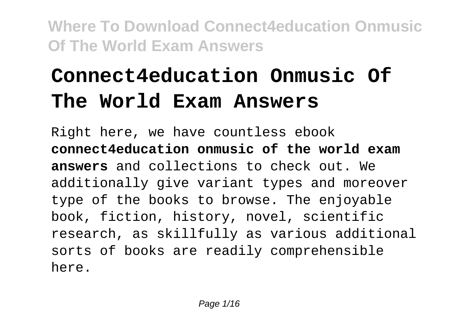# **Connect4education Onmusic Of The World Exam Answers**

Right here, we have countless ebook **connect4education onmusic of the world exam answers** and collections to check out. We additionally give variant types and moreover type of the books to browse. The enjoyable book, fiction, history, novel, scientific research, as skillfully as various additional sorts of books are readily comprehensible here.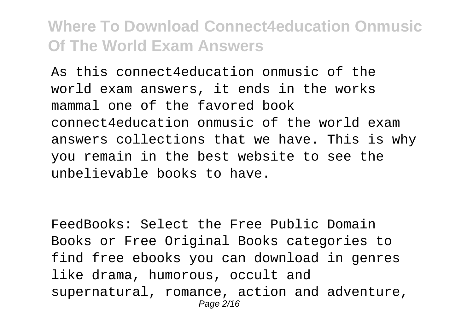As this connect4education onmusic of the world exam answers, it ends in the works mammal one of the favored book connect4education onmusic of the world exam answers collections that we have. This is why you remain in the best website to see the unbelievable books to have.

FeedBooks: Select the Free Public Domain Books or Free Original Books categories to find free ebooks you can download in genres like drama, humorous, occult and supernatural, romance, action and adventure, Page 2/16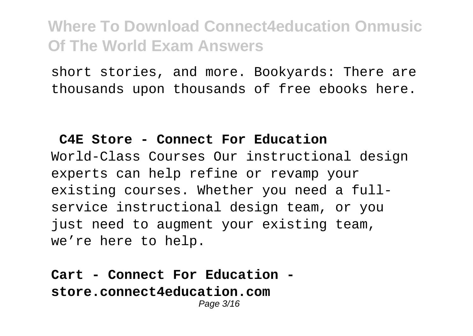short stories, and more. Bookyards: There are thousands upon thousands of free ebooks here.

#### **C4E Store - Connect For Education**

World-Class Courses Our instructional design experts can help refine or revamp your existing courses. Whether you need a fullservice instructional design team, or you just need to augment your existing team, we're here to help.

#### **Cart - Connect For Education store.connect4education.com** Page 3/16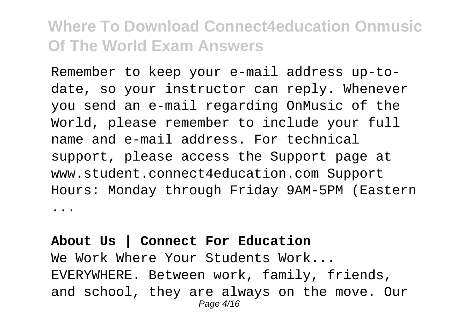Remember to keep your e-mail address up-todate, so your instructor can reply. Whenever you send an e-mail regarding OnMusic of the World, please remember to include your full name and e-mail address. For technical support, please access the Support page at www.student.connect4education.com Support Hours: Monday through Friday 9AM-5PM (Eastern ...

#### **About Us | Connect For Education** We Work Where Your Students Work... EVERYWHERE. Between work, family, friends, and school, they are always on the move. Our Page 4/16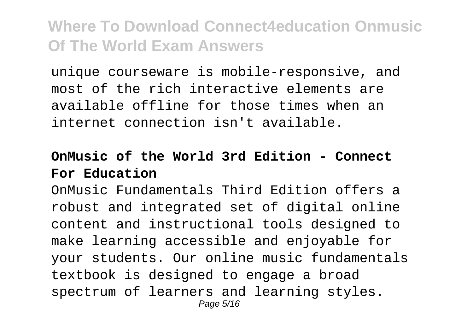unique courseware is mobile-responsive, and most of the rich interactive elements are available offline for those times when an internet connection isn't available.

#### **OnMusic of the World 3rd Edition - Connect For Education**

OnMusic Fundamentals Third Edition offers a robust and integrated set of digital online content and instructional tools designed to make learning accessible and enjoyable for your students. Our online music fundamentals textbook is designed to engage a broad spectrum of learners and learning styles. Page 5/16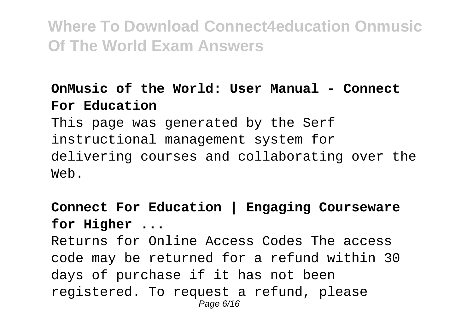### **OnMusic of the World: User Manual - Connect For Education**

This page was generated by the Serf instructional management system for delivering courses and collaborating over the Web.

**Connect For Education | Engaging Courseware for Higher ...**

Returns for Online Access Codes The access code may be returned for a refund within 30 days of purchase if it has not been registered. To request a refund, please Page 6/16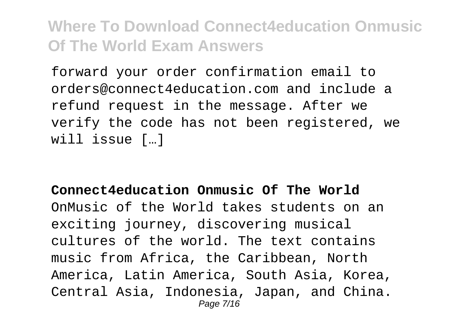forward your order confirmation email to orders@connect4education.com and include a refund request in the message. After we verify the code has not been registered, we will issue […]

### **Connect4education Onmusic Of The World** OnMusic of the World takes students on an exciting journey, discovering musical cultures of the world. The text contains music from Africa, the Caribbean, North America, Latin America, South Asia, Korea, Central Asia, Indonesia, Japan, and China. Page 7/16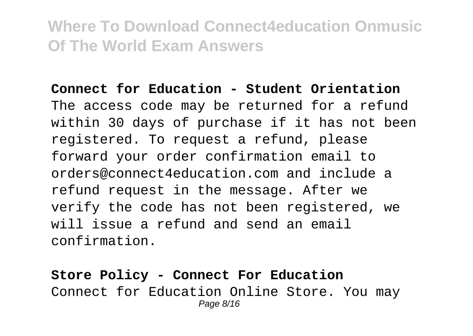**Connect for Education - Student Orientation** The access code may be returned for a refund within 30 days of purchase if it has not been registered. To request a refund, please forward your order confirmation email to orders@connect4education.com and include a refund request in the message. After we verify the code has not been registered, we will issue a refund and send an email confirmation.

**Store Policy - Connect For Education** Connect for Education Online Store. You may Page 8/16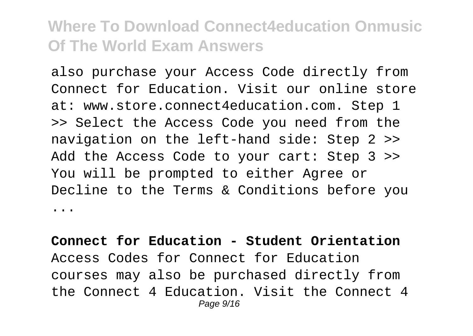also purchase your Access Code directly from Connect for Education. Visit our online store at: www.store.connect4education.com. Step 1 >> Select the Access Code you need from the navigation on the left-hand side: Step 2 >> Add the Access Code to your cart: Step 3 >> You will be prompted to either Agree or Decline to the Terms & Conditions before you ...

**Connect for Education - Student Orientation** Access Codes for Connect for Education courses may also be purchased directly from the Connect 4 Education. Visit the Connect 4 Page  $9/16$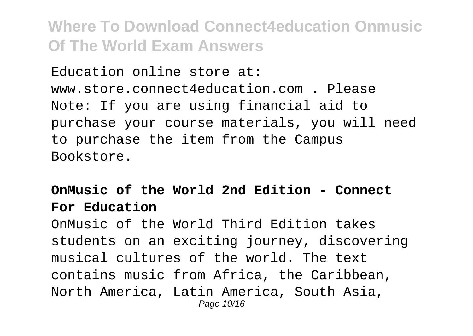Education online store at: www.store.connect4education.com . Please Note: If you are using financial aid to purchase your course materials, you will need to purchase the item from the Campus Bookstore.

#### **OnMusic of the World 2nd Edition - Connect For Education**

OnMusic of the World Third Edition takes students on an exciting journey, discovering musical cultures of the world. The text contains music from Africa, the Caribbean, North America, Latin America, South Asia, Page 10/16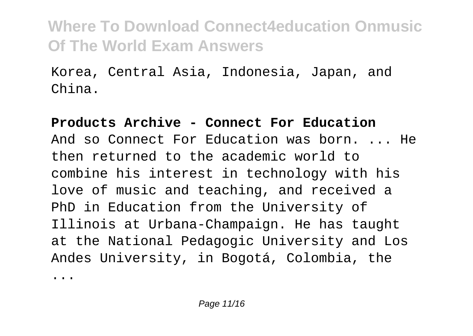Korea, Central Asia, Indonesia, Japan, and China.

**Products Archive - Connect For Education** And so Connect For Education was born. ... He then returned to the academic world to combine his interest in technology with his love of music and teaching, and received a PhD in Education from the University of Illinois at Urbana-Champaign. He has taught at the National Pedagogic University and Los Andes University, in Bogotá, Colombia, the

...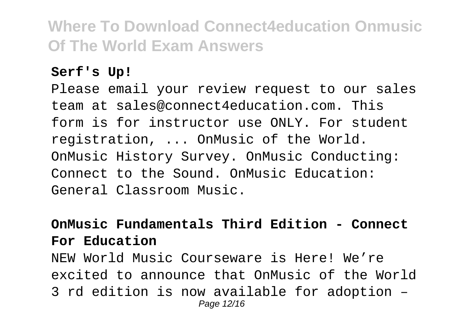#### **Serf's Up!**

Please email your review request to our sales team at sales@connect4education.com. This form is for instructor use ONLY. For student registration, ... OnMusic of the World. OnMusic History Survey. OnMusic Conducting: Connect to the Sound. OnMusic Education: General Classroom Music.

#### **OnMusic Fundamentals Third Edition - Connect For Education**

NEW World Music Courseware is Here! We're excited to announce that OnMusic of the World 3 rd edition is now available for adoption – Page 12/16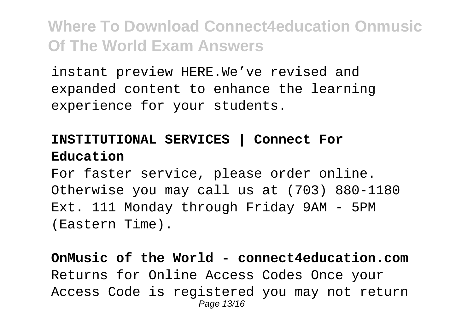instant preview HERE.We've revised and expanded content to enhance the learning experience for your students.

### **INSTITUTIONAL SERVICES | Connect For Education**

For faster service, please order online. Otherwise you may call us at (703) 880-1180 Ext. 111 Monday through Friday 9AM - 5PM (Eastern Time).

**OnMusic of the World - connect4education.com** Returns for Online Access Codes Once your Access Code is registered you may not return Page 13/16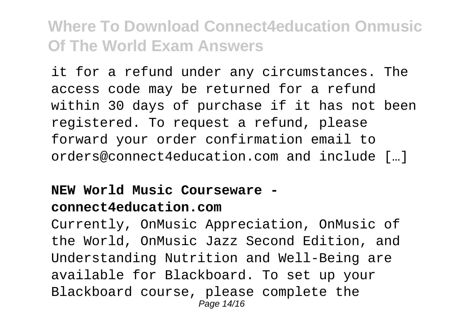it for a refund under any circumstances. The access code may be returned for a refund within 30 days of purchase if it has not been registered. To request a refund, please forward your order confirmation email to orders@connect4education.com and include […]

#### **NEW World Music Courseware connect4education.com**

Currently, OnMusic Appreciation, OnMusic of the World, OnMusic Jazz Second Edition, and Understanding Nutrition and Well-Being are available for Blackboard. To set up your Blackboard course, please complete the Page 14/16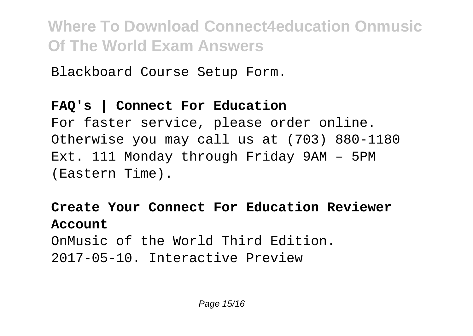Blackboard Course Setup Form.

#### **FAQ's | Connect For Education**

For faster service, please order online. Otherwise you may call us at (703) 880-1180 Ext. 111 Monday through Friday 9AM – 5PM (Eastern Time).

**Create Your Connect For Education Reviewer Account** OnMusic of the World Third Edition. 2017-05-10. Interactive Preview